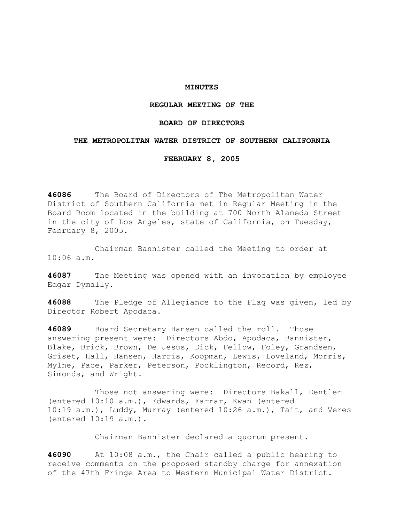## **MINUTES**

# **REGULAR MEETING OF THE**

# **BOARD OF DIRECTORS**

### **THE METROPOLITAN WATER DISTRICT OF SOUTHERN CALIFORNIA**

### **FEBRUARY 8, 2005**

**46086** The Board of Directors of The Metropolitan Water District of Southern California met in Regular Meeting in the Board Room located in the building at 700 North Alameda Street in the city of Los Angeles, state of California, on Tuesday, February 8, 2005.

 Chairman Bannister called the Meeting to order at 10:06 a.m.

**46087** The Meeting was opened with an invocation by employee Edgar Dymally.

**46088** The Pledge of Allegiance to the Flag was given, led by Director Robert Apodaca.

**46089** Board Secretary Hansen called the roll. Those answering present were: Directors Abdo, Apodaca, Bannister, Blake, Brick, Brown, De Jesus, Dick, Fellow, Foley, Grandsen, Griset, Hall, Hansen, Harris, Koopman, Lewis, Loveland, Morris, Mylne, Pace, Parker, Peterson, Pocklington, Record, Rez, Simonds, and Wright.

 Those not answering were: Directors Bakall, Dentler (entered 10:10 a.m.), Edwards, Farrar, Kwan (entered 10:19 a.m.), Luddy, Murray (entered 10:26 a.m.), Tait, and Veres (entered 10:19 a.m.).

Chairman Bannister declared a quorum present.

**46090** At 10:08 a.m., the Chair called a public hearing to receive comments on the proposed standby charge for annexation of the 47th Fringe Area to Western Municipal Water District.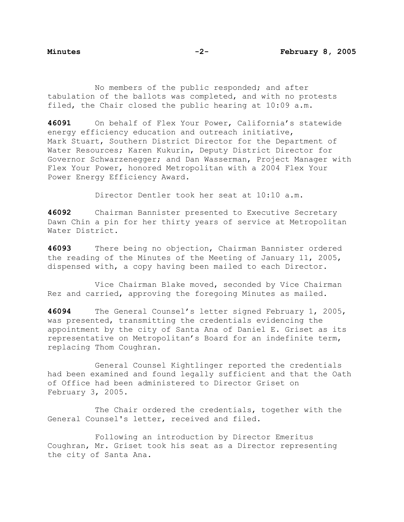No members of the public responded; and after tabulation of the ballots was completed, and with no protests filed, the Chair closed the public hearing at 10:09 a.m.

**46091** On behalf of Flex Your Power, California's statewide energy efficiency education and outreach initiative, Mark Stuart, Southern District Director for the Department of Water Resources; Karen Kukurin, Deputy District Director for Governor Schwarzenegger; and Dan Wasserman, Project Manager with Flex Your Power, honored Metropolitan with a 2004 Flex Your Power Energy Efficiency Award.

Director Dentler took her seat at 10:10 a.m.

**46092** Chairman Bannister presented to Executive Secretary Dawn Chin a pin for her thirty years of service at Metropolitan Water District.

**46093** There being no objection, Chairman Bannister ordered the reading of the Minutes of the Meeting of January 11, 2005, dispensed with, a copy having been mailed to each Director.

 Vice Chairman Blake moved, seconded by Vice Chairman Rez and carried, approving the foregoing Minutes as mailed.

**46094** The General Counsel's letter signed February 1, 2005, was presented, transmitting the credentials evidencing the appointment by the city of Santa Ana of Daniel E. Griset as its representative on Metropolitan's Board for an indefinite term, replacing Thom Coughran.

General Counsel Kightlinger reported the credentials had been examined and found legally sufficient and that the Oath of Office had been administered to Director Griset on February 3, 2005.

 The Chair ordered the credentials, together with the General Counsel's letter, received and filed.

Following an introduction by Director Emeritus Coughran, Mr. Griset took his seat as a Director representing the city of Santa Ana.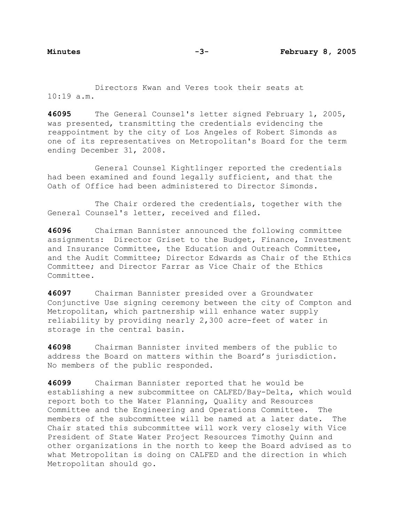Directors Kwan and Veres took their seats at  $10:19$  a.m.

**46095** The General Counsel's letter signed February 1, 2005, was presented, transmitting the credentials evidencing the reappointment by the city of Los Angeles of Robert Simonds as one of its representatives on Metropolitan's Board for the term ending December 31, 2008.

 General Counsel Kightlinger reported the credentials had been examined and found legally sufficient, and that the Oath of Office had been administered to Director Simonds.

 The Chair ordered the credentials, together with the General Counsel's letter, received and filed.

**46096** Chairman Bannister announced the following committee assignments: Director Griset to the Budget, Finance, Investment and Insurance Committee, the Education and Outreach Committee, and the Audit Committee; Director Edwards as Chair of the Ethics Committee; and Director Farrar as Vice Chair of the Ethics Committee.

**46097** Chairman Bannister presided over a Groundwater Conjunctive Use signing ceremony between the city of Compton and Metropolitan, which partnership will enhance water supply reliability by providing nearly 2,300 acre-feet of water in storage in the central basin.

**46098** Chairman Bannister invited members of the public to address the Board on matters within the Board's jurisdiction. No members of the public responded.

**46099** Chairman Bannister reported that he would be establishing a new subcommittee on CALFED/Bay-Delta, which would report both to the Water Planning, Quality and Resources Committee and the Engineering and Operations Committee. The members of the subcommittee will be named at a later date. The Chair stated this subcommittee will work very closely with Vice President of State Water Project Resources Timothy Quinn and other organizations in the north to keep the Board advised as to what Metropolitan is doing on CALFED and the direction in which Metropolitan should go.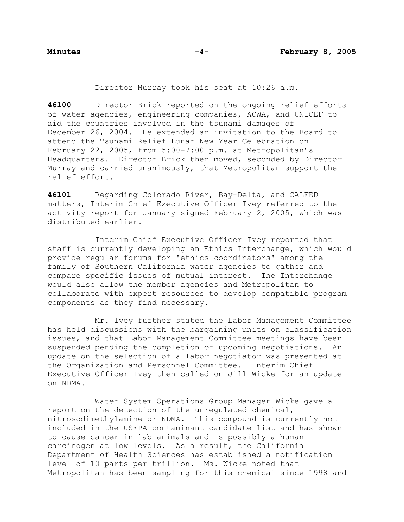Director Murray took his seat at 10:26 a.m.

**46100** Director Brick reported on the ongoing relief efforts of water agencies, engineering companies, ACWA, and UNICEF to aid the countries involved in the tsunami damages of December 26, 2004. He extended an invitation to the Board to attend the Tsunami Relief Lunar New Year Celebration on February 22, 2005, from 5:00-7:00 p.m. at Metropolitan's Headquarters. Director Brick then moved, seconded by Director Murray and carried unanimously, that Metropolitan support the relief effort.

**46101** Regarding Colorado River, Bay-Delta, and CALFED matters, Interim Chief Executive Officer Ivey referred to the activity report for January signed February 2, 2005, which was distributed earlier.

 Interim Chief Executive Officer Ivey reported that staff is currently developing an Ethics Interchange, which would provide regular forums for "ethics coordinators" among the family of Southern California water agencies to gather and compare specific issues of mutual interest. The Interchange would also allow the member agencies and Metropolitan to collaborate with expert resources to develop compatible program components as they find necessary.

 Mr. Ivey further stated the Labor Management Committee has held discussions with the bargaining units on classification issues, and that Labor Management Committee meetings have been suspended pending the completion of upcoming negotiations. An update on the selection of a labor negotiator was presented at the Organization and Personnel Committee. Interim Chief Executive Officer Ivey then called on Jill Wicke for an update on NDMA.

 Water System Operations Group Manager Wicke gave a report on the detection of the unregulated chemical, nitrosodimethylamine or NDMA. This compound is currently not included in the USEPA contaminant candidate list and has shown to cause cancer in lab animals and is possibly a human carcinogen at low levels. As a result, the California Department of Health Sciences has established a notification level of 10 parts per trillion. Ms. Wicke noted that Metropolitan has been sampling for this chemical since 1998 and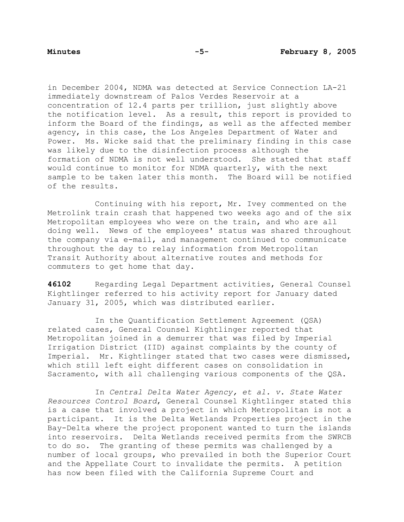in December 2004, NDMA was detected at Service Connection LA-21 immediately downstream of Palos Verdes Reservoir at a concentration of 12.4 parts per trillion, just slightly above the notification level. As a result, this report is provided to inform the Board of the findings, as well as the affected member agency, in this case, the Los Angeles Department of Water and Power. Ms. Wicke said that the preliminary finding in this case was likely due to the disinfection process although the formation of NDMA is not well understood. She stated that staff would continue to monitor for NDMA quarterly, with the next sample to be taken later this month. The Board will be notified of the results.

 Continuing with his report, Mr. Ivey commented on the Metrolink train crash that happened two weeks ago and of the six Metropolitan employees who were on the train, and who are all doing well. News of the employees' status was shared throughout the company via e-mail, and management continued to communicate throughout the day to relay information from Metropolitan Transit Authority about alternative routes and methods for commuters to get home that day.

**46102** Regarding Legal Department activities, General Counsel Kightlinger referred to his activity report for January dated January 31, 2005, which was distributed earlier.

 In the Quantification Settlement Agreement (QSA) related cases, General Counsel Kightlinger reported that Metropolitan joined in a demurrer that was filed by Imperial Irrigation District (IID) against complaints by the county of Imperial. Mr. Kightlinger stated that two cases were dismissed, which still left eight different cases on consolidation in Sacramento, with all challenging various components of the QSA.

 In *Central Delta Water Agency, et al. v. State Water Resources Control Board*, General Counsel Kightlinger stated this is a case that involved a project in which Metropolitan is not a participant. It is the Delta Wetlands Properties project in the Bay-Delta where the project proponent wanted to turn the islands into reservoirs. Delta Wetlands received permits from the SWRCB to do so. The granting of these permits was challenged by a number of local groups, who prevailed in both the Superior Court and the Appellate Court to invalidate the permits. A petition has now been filed with the California Supreme Court and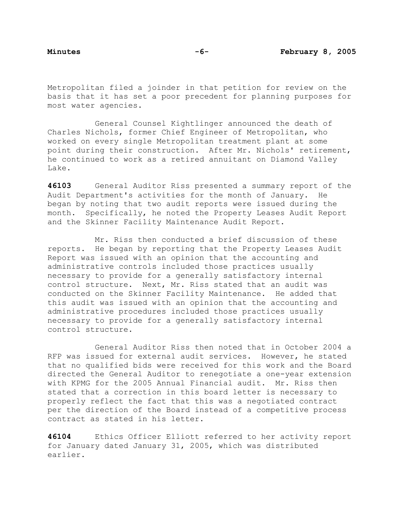Metropolitan filed a joinder in that petition for review on the basis that it has set a poor precedent for planning purposes for most water agencies.

 General Counsel Kightlinger announced the death of Charles Nichols, former Chief Engineer of Metropolitan, who worked on every single Metropolitan treatment plant at some point during their construction. After Mr. Nichols' retirement, he continued to work as a retired annuitant on Diamond Valley Lake.

**46103** General Auditor Riss presented a summary report of the Audit Department's activities for the month of January. He began by noting that two audit reports were issued during the month. Specifically, he noted the Property Leases Audit Report and the Skinner Facility Maintenance Audit Report.

 Mr. Riss then conducted a brief discussion of these reports. He began by reporting that the Property Leases Audit Report was issued with an opinion that the accounting and administrative controls included those practices usually necessary to provide for a generally satisfactory internal control structure. Next, Mr. Riss stated that an audit was conducted on the Skinner Facility Maintenance. He added that this audit was issued with an opinion that the accounting and administrative procedures included those practices usually necessary to provide for a generally satisfactory internal control structure.

 General Auditor Riss then noted that in October 2004 a RFP was issued for external audit services. However, he stated that no qualified bids were received for this work and the Board directed the General Auditor to renegotiate a one-year extension with KPMG for the 2005 Annual Financial audit. Mr. Riss then stated that a correction in this board letter is necessary to properly reflect the fact that this was a negotiated contract per the direction of the Board instead of a competitive process contract as stated in his letter.

**46104** Ethics Officer Elliott referred to her activity report for January dated January 31, 2005, which was distributed earlier.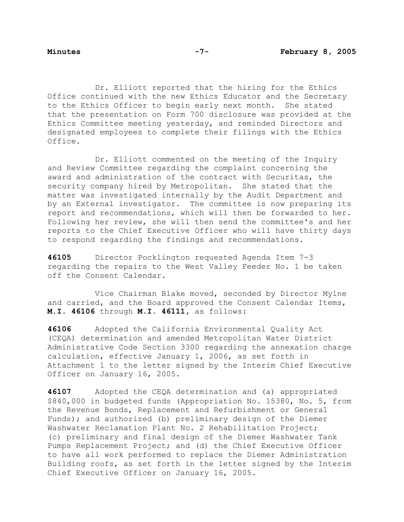Dr. Elliott reported that the hiring for the Ethics Office continued with the new Ethics Educator and the Secretary to the Ethics Officer to begin early next month. She stated that the presentation on Form 700 disclosure was provided at the Ethics Committee meeting yesterday, and reminded Directors and designated employees to complete their filings with the Ethics Office.

 Dr. Elliott commented on the meeting of the Inquiry and Review Committee regarding the complaint concerning the award and administration of the contract with Securitas, the security company hired by Metropolitan. She stated that the matter was investigated internally by the Audit Department and by an External investigator. The committee is now preparing its report and recommendations, which will then be forwarded to her. Following her review, she will then send the committee's and her reports to the Chief Executive Officer who will have thirty days to respond regarding the findings and recommendations.

**46105** Director Pocklington requested Agenda Item 7-3 regarding the repairs to the West Valley Feeder No. 1 be taken off the Consent Calendar.

 Vice Chairman Blake moved, seconded by Director Mylne and carried, and the Board approved the Consent Calendar Items, **M.I. 46106** through **M.I. 46111,** as follows:

**46106** Adopted the California Environmental Quality Act (CEQA) determination and amended Metropolitan Water District Administrative Code Section 3300 regarding the annexation charge calculation, effective January 1, 2006, as set forth in Attachment 1 to the letter signed by the Interim Chief Executive Officer on January 16, 2005.

**46107** Adopted the CEQA determination and (a) appropriated \$840,000 in budgeted funds (Appropriation No. 15380, No. 5, from the Revenue Bonds, Replacement and Refurbishment or General Funds); and authorized (b) preliminary design of the Diemer Washwater Reclamation Plant No. 2 Rehabilitation Project; (c) preliminary and final design of the Diemer Washwater Tank Pumps Replacement Project; and (d) the Chief Executive Officer to have all work performed to replace the Diemer Administration Building roofs, as set forth in the letter signed by the Interim Chief Executive Officer on January 16, 2005.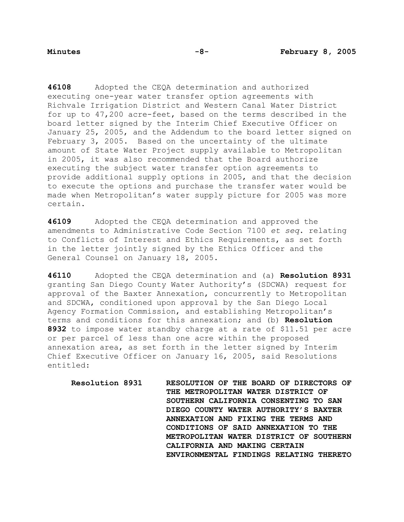**46108** Adopted the CEQA determination and authorized executing one-year water transfer option agreements with Richvale Irrigation District and Western Canal Water District for up to 47,200 acre-feet, based on the terms described in the board letter signed by the Interim Chief Executive Officer on January 25, 2005, and the Addendum to the board letter signed on February 3, 2005. Based on the uncertainty of the ultimate amount of State Water Project supply available to Metropolitan in 2005, it was also recommended that the Board authorize executing the subject water transfer option agreements to provide additional supply options in 2005, and that the decision to execute the options and purchase the transfer water would be made when Metropolitan's water supply picture for 2005 was more certain.

**46109** Adopted the CEQA determination and approved the amendments to Administrative Code Section 7100 *et seq*. relating to Conflicts of Interest and Ethics Requirements, as set forth in the letter jointly signed by the Ethics Officer and the General Counsel on January 18, 2005.

**46110** Adopted the CEQA determination and (a) **Resolution 8931**  granting San Diego County Water Authority's (SDCWA) request for approval of the Baxter Annexation, concurrently to Metropolitan and SDCWA, conditioned upon approval by the San Diego Local Agency Formation Commission, and establishing Metropolitan's terms and conditions for this annexation; and (b) **Resolution 8932** to impose water standby charge at a rate of \$11.51 per acre or per parcel of less than one acre within the proposed annexation area, as set forth in the letter signed by Interim Chief Executive Officer on January 16, 2005, said Resolutions entitled:

**Resolution 8931 RESOLUTION OF THE BOARD OF DIRECTORS OF THE METROPOLITAN WATER DISTRICT OF SOUTHERN CALIFORNIA CONSENTING TO SAN DIEGO COUNTY WATER AUTHORITY'S BAXTER ANNEXATION AND FIXING THE TERMS AND CONDITIONS OF SAID ANNEXATION TO THE METROPOLITAN WATER DISTRICT OF SOUTHERN CALIFORNIA AND MAKING CERTAIN ENVIRONMENTAL FINDINGS RELATING THERETO**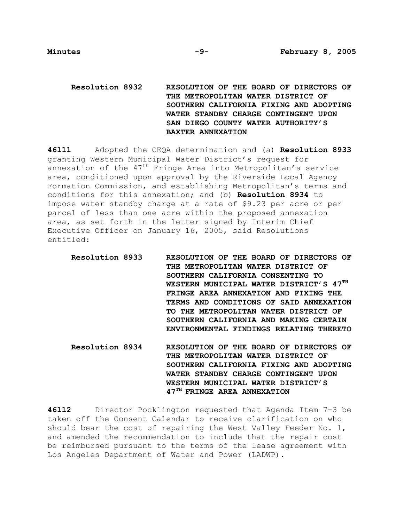# **Resolution 8932 RESOLUTION OF THE BOARD OF DIRECTORS OF THE METROPOLITAN WATER DISTRICT OF SOUTHERN CALIFORNIA FIXING AND ADOPTING WATER STANDBY CHARGE CONTINGENT UPON SAN DIEGO COUNTY WATER AUTHORITY'S BAXTER ANNEXATION**

**46111** Adopted the CEQA determination and (a) **Resolution 8933**  granting Western Municipal Water District's request for annexation of the  $47<sup>th</sup>$  Fringe Area into Metropolitan's service area, conditioned upon approval by the Riverside Local Agency Formation Commission, and establishing Metropolitan's terms and conditions for this annexation; and (b) **Resolution 8934** to impose water standby charge at a rate of \$9.23 per acre or per parcel of less than one acre within the proposed annexation area, as set forth in the letter signed by Interim Chief Executive Officer on January 16, 2005, said Resolutions entitled:

**Resolution 8933 RESOLUTION OF THE BOARD OF DIRECTORS OF THE METROPOLITAN WATER DISTRICT OF SOUTHERN CALIFORNIA CONSENTING TO WESTERN MUNICIPAL WATER DISTRICT'S 47TH FRINGE AREA ANNEXATION AND FIXING THE TERMS AND CONDITIONS OF SAID ANNEXATION TO THE METROPOLITAN WATER DISTRICT OF SOUTHERN CALIFORNIA AND MAKING CERTAIN ENVIRONMENTAL FINDINGS RELATING THERETO** 

**Resolution 8934 RESOLUTION OF THE BOARD OF DIRECTORS OF THE METROPOLITAN WATER DISTRICT OF SOUTHERN CALIFORNIA FIXING AND ADOPTING WATER STANDBY CHARGE CONTINGENT UPON WESTERN MUNICIPAL WATER DISTRICT'S 47TH FRINGE AREA ANNEXATION** 

**46112** Director Pocklington requested that Agenda Item 7-3 be taken off the Consent Calendar to receive clarification on who should bear the cost of repairing the West Valley Feeder No. 1, and amended the recommendation to include that the repair cost be reimbursed pursuant to the terms of the lease agreement with Los Angeles Department of Water and Power (LADWP).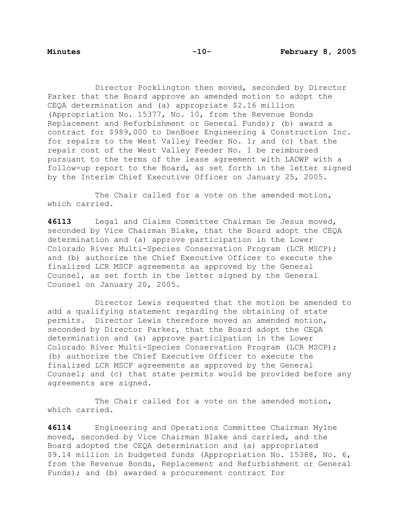Director Pocklington then moved, seconded by Director Parker that the Board approve an amended motion to adopt the CEQA determination and (a) appropriate \$2.16 million (Appropriation No. 15377, No. 10, from the Revenue Bonds Replacement and Refurbishment or General Funds); (b) award a contract for \$989,000 to DenBoer Engineering & Construction Inc. for repairs to the West Valley Feeder No. 1; and (c) that the repair cost of the West Valley Feeder No. 1 be reimbursed pursuant to the terms of the lease agreement with LADWP with a follow-up report to the Board, as set forth in the letter signed by the Interim Chief Executive Officer on January 25, 2005.

The Chair called for a vote on the amended motion, which carried.

**46113** Legal and Claims Committee Chairman De Jesus moved, seconded by Vice Chairman Blake, that the Board adopt the CEQA determination and (a) approve participation in the Lower Colorado River Multi-Species Conservation Program (LCR MSCP); and (b) authorize the Chief Executive Officer to execute the finalized LCR MSCP agreements as approved by the General Counsel, as set forth in the letter signed by the General Counsel on January 20, 2005.

 Director Lewis requested that the motion be amended to add a qualifying statement regarding the obtaining of state permits. Director Lewis therefore moved an amended motion, seconded by Director Parker, that the Board adopt the CEQA determination and (a) approve participation in the Lower Colorado River Multi-Species Conservation Program (LCR MSCP); (b) authorize the Chief Executive Officer to execute the finalized LCR MSCP agreements as approved by the General Counsel; and (c) that state permits would be provided before any agreements are signed.

The Chair called for a vote on the amended motion, which carried.

**46114** Engineering and Operations Committee Chairman Mylne moved, seconded by Vice Chairman Blake and carried, and the Board adopted the CEQA determination and (a) appropriated \$9.l4 million in budgeted funds (Appropriation No. 15388, No. 6, from the Revenue Bonds, Replacement and Refurbishment or General Funds); and (b) awarded a procurement contract for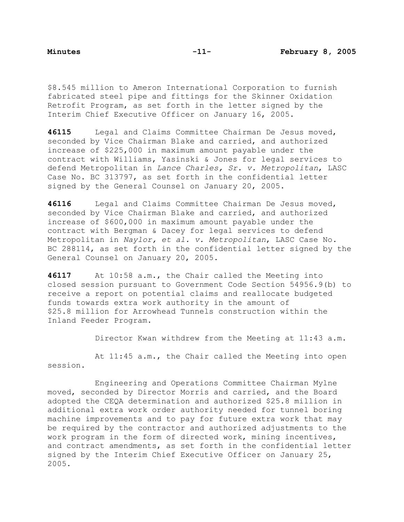\$8.545 million to Ameron International Corporation to furnish fabricated steel pipe and fittings for the Skinner Oxidation Retrofit Program, as set forth in the letter signed by the Interim Chief Executive Officer on January 16, 2005.

**46115** Legal and Claims Committee Chairman De Jesus moved, seconded by Vice Chairman Blake and carried, and authorized increase of \$225,000 in maximum amount payable under the contract with Williams, Yasinski & Jones for legal services to defend Metropolitan in *Lance Charles, Sr. v. Metropolitan*, LASC Case No. BC 313797, as set forth in the confidential letter signed by the General Counsel on January 20, 2005.

**46116** Legal and Claims Committee Chairman De Jesus moved, seconded by Vice Chairman Blake and carried, and authorized increase of \$600,000 in maximum amount payable under the contract with Bergman & Dacey for legal services to defend Metropolitan in *Naylor, et al. v. Metropolitan*, LASC Case No. BC 288114, as set forth in the confidential letter signed by the General Counsel on January 20, 2005.

**46117** At 10:58 a.m., the Chair called the Meeting into closed session pursuant to Government Code Section 54956.9(b) to receive a report on potential claims and reallocate budgeted funds towards extra work authority in the amount of \$25.8 million for Arrowhead Tunnels construction within the Inland Feeder Program.

Director Kwan withdrew from the Meeting at 11:43 a.m.

 At 11:45 a.m., the Chair called the Meeting into open session.

 Engineering and Operations Committee Chairman Mylne moved, seconded by Director Morris and carried, and the Board adopted the CEQA determination and authorized \$25.8 million in additional extra work order authority needed for tunnel boring machine improvements and to pay for future extra work that may be required by the contractor and authorized adjustments to the work program in the form of directed work, mining incentives, and contract amendments, as set forth in the confidential letter signed by the Interim Chief Executive Officer on January 25, 2005.